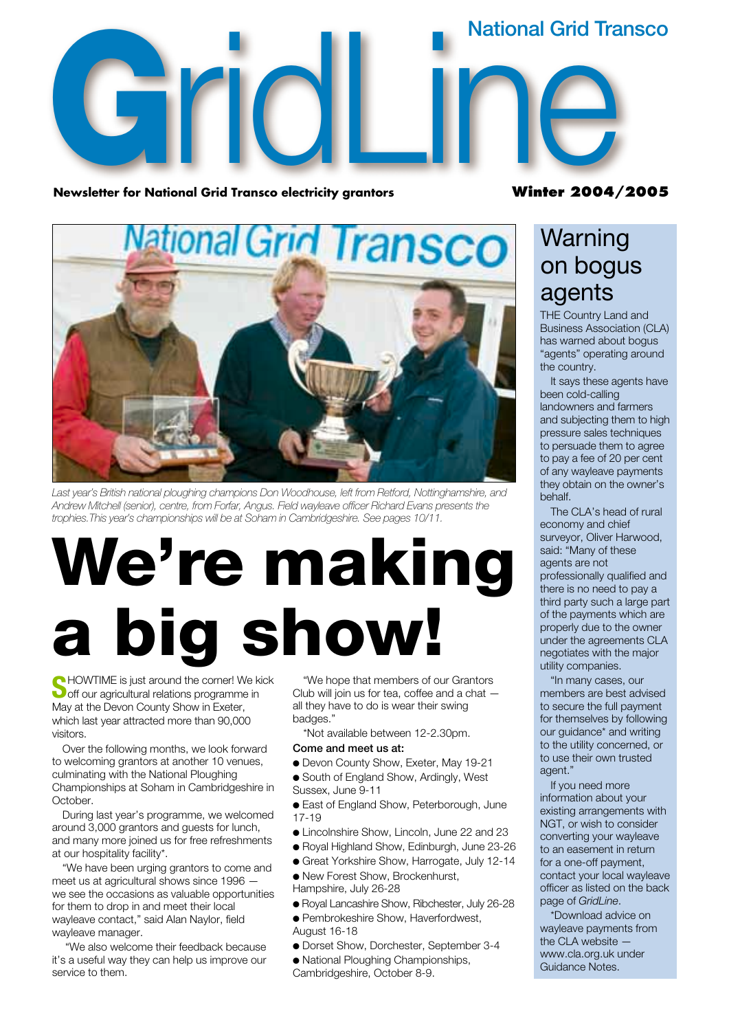# **G**<br>**G**<br>**Newsletter for Natio** onal Grid Transco electricity grantors<br>
Winter 2004 **National Grid Transco**

**Newsletter for National Grid Transco electricity grantors** 

#### **Winter 2004/2005**



*Last year's British national ploughing champions Don Woodhouse, left from Retford, Nottinghamshire, and Andrew Mitchell (senior), centre, from Forfar, Angus. Field wayleave officer Richard Evans presents the trophies.This year's championships will be at Soham in Cambridgeshire. See pages 10/11.*

# **We're making a big show!**

**S**HOWTIME is just around the corner! We kick off our agricultural relations programme in May at the Devon County Show in Exeter, which last year attracted more than 90,000 visitors.

Over the following months, we look forward to welcoming grantors at another 10 venues, culminating with the National Ploughing Championships at Soham in Cambridgeshire in October.

During last year's programme, we welcomed around 3,000 grantors and guests for lunch, and many more joined us for free refreshments at our hospitality facility\*.

"We have been urging grantors to come and meet us at agricultural shows since 1996 we see the occasions as valuable opportunities for them to drop in and meet their local wayleave contact," said Alan Naylor, field wayleave manager.

"We also welcome their feedback because it's a useful way they can help us improve our service to them.

"We hope that members of our Grantors Club will join us for tea, coffee and a chat all they have to do is wear their swing badges."

\*Not available between 12-2.30pm. **Come and meet us at:**

- Devon County Show, Exeter, May 19-21
- South of England Show, Ardingly, West Sussex, June 9-11
- 
- East of England Show, Peterborough, June 17-19
- Lincolnshire Show, Lincoln, June 22 and 23
- Royal Highland Show, Edinburgh, June 23-26
- Great Yorkshire Show, Harrogate, July 12-14
- New Forest Show, Brockenhurst, Hampshire, July 26-28
- Royal Lancashire Show, Ribchester, July 26-28
- Pembrokeshire Show, Haverfordwest,
- August 16-18
- Dorset Show, Dorchester, September 3-4
- National Ploughing Championships, Cambridgeshire, October 8-9.

### **Warning** on bogus agents

THE Country Land and Business Association (CLA) has warned about bogus "agents" operating around the country.

It says these agents have been cold-calling landowners and farmers and subjecting them to high pressure sales techniques to persuade them to agree to pay a fee of 20 per cent of any wayleave payments they obtain on the owner's behalf.

The CLA's head of rural economy and chief surveyor, Oliver Harwood, said: "Many of these agents are not professionally qualified and there is no need to pay a third party such a large part of the payments which are properly due to the owner under the agreements CLA negotiates with the major utility companies.

"In many cases, our members are best advised to secure the full payment for themselves by following our guidance\* and writing to the utility concerned, or to use their own trusted agent."

If you need more information about your existing arrangements with NGT, or wish to consider converting your wayleave to an easement in return for a one-off payment, contact your local wayleave officer as listed on the back page of *GridLine*.

\*Download advice on wayleave payments from the CLA website www.cla.org.uk under Guidance Notes.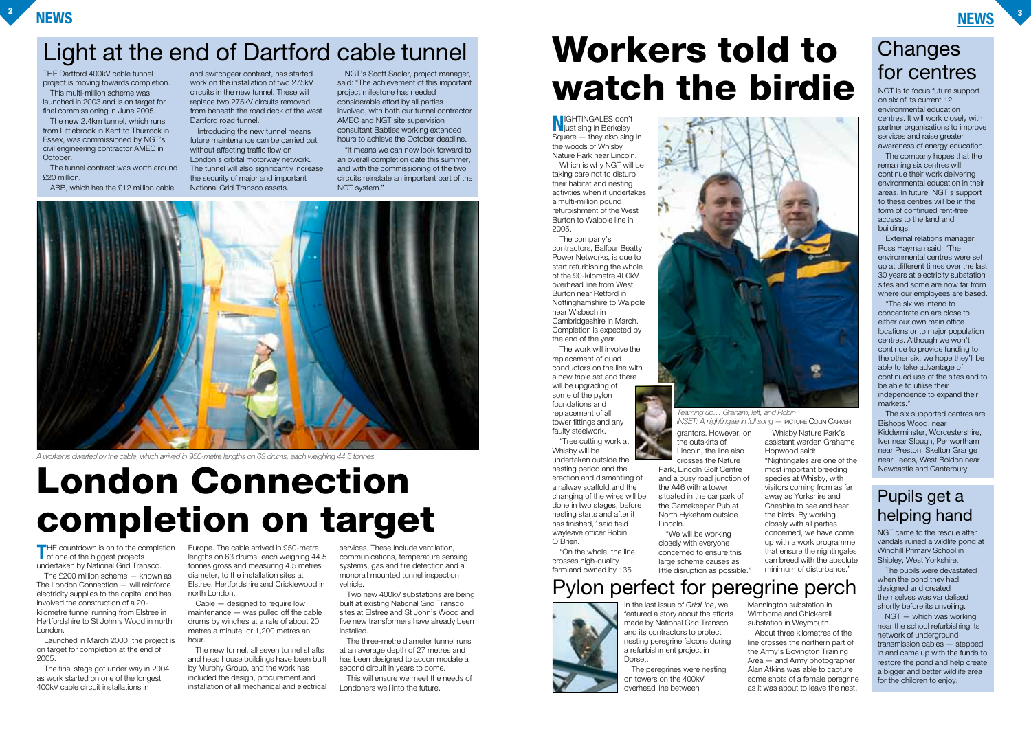#### **NEWS <sup>3</sup>**



**T**HE countdown is on to the completion of one of the biggest projects undertaken by National Grid Transco.

The £200 million scheme — known as The London Connection — will reinforce electricity supplies to the capital and has involved the construction of a 20 kilometre tunnel running from Elstree in Hertfordshire to St John's Wood in north London.

Cable — designed to require low maintenance — was pulled off the cable drums by winches at a rate of about 20 metres a minute, or 1,200 metres an hour

Launched in March 2000, the project is on target for completion at the end of 2005.

The final stage got under way in 2004 as work started on one of the longest 400kV cable circuit installations in

Europe. The cable arrived in 950-metre lengths on 63 drums, each weighing 44.5 tonnes gross and measuring 4.5 metres diameter, to the installation sites at Elstree, Hertfordshire and Cricklewood in north London.

> The three-metre diameter tunnel runs at an average depth of 27 metres and has been designed to accommodate a second circuit in years to come.

The new tunnel, all seven tunnel shafts and head house buildings have been built by Murphy Group, and the work has included the design, procurement and installation of all mechanical and electrical

services. These include ventilation, communications, temperature sensing systems, gas and fire detection and a monorail mounted tunnel inspection vehicle.

Two new 400kV substations are being built at existing National Grid Transco sites at Elstree and St John's Wood and five new transformers have already been installed.

This will ensure we meet the needs of Londoners well into the future.

THE Dartford 400kV cable tunnel project is moving towards completion.

This multi-million scheme was launched in 2003 and is on target for final commissioning in June 2005.

The new 2.4km tunnel, which runs from Littlebrook in Kent to Thurrock in Essex, was commissioned by NGT's civil engineering contractor AMEC in October.

The tunnel contract was worth around £20 million.

ABB, which has the £12 million cable

and switchgear contract, has started work on the installation of two 275kV circuits in the new tunnel. These will replace two 275kV circuits removed from beneath the road deck of the west Dartford road tunnel.

Introducing the new tunnel means future maintenance can be carried out without affecting traffic flow on London's orbital motorway network. The tunnel will also significantly increase the security of major and important National Grid Transco assets.

NGT's Scott Sadler, project manager, said: "The achievement of this important project milestone has needed considerable effort by all parties involved, with both our tunnel contractor AMEC and NGT site supervision consultant Babties working extended hours to achieve the October deadline.

> The company hopes that the remaining six centres will continue their work delivering environmental education in their areas. In future, NGT's support to these centres will be in the form of continued rent-free access to the land and buildings.

"It means we can now look forward to an overall completion date this summer, and with the commissioning of the two circuits reinstate an important part of the NGT system."

**N**IGHTINGALES don't just sing in Berkeley  $Square - they also sing in$ the woods of Whisby Nature Park near Lincoln. Which is why NGT will be taking care not to disturb their habitat and nesting activities when it undertakes a multi-million pound refurbishment of the West Burton to Walpole line in 2005.

> NGT – which was working near the school refurbishing its network of underground transmission cables — stepped in and came up with the funds to restore the pond and help create a bigger and better wildlife area for the children to enjoy.

# Light at the end of Dartford cable tunnel<br>
THE Dartford 400kV cable tunnel **Endit Control** and switchgear contract, has started NGT's Scott Sadler, project manager, **Workers told to watch the birdie**

The company's contractors, Balfour Beatty Power Networks, is due to start refurbishing the whole of the 90-kilometre 400kV overhead line from West Burton near Retford in Nottinghamshire to Walpole near Wisbech in Cambridgeshire in March. Completion is expected by the end of the year.

The work will involve the replacement of quad conductors on the line with a new triple set and there will be upgrading of some of the pylon foundations and replacement of all tower fittings and any faulty steelwork.

"Tree cutting work at Whisby will be undertaken outside the nesting period and the erection and dismantling of a railway scaffold and the changing of the wires will be done in two stages, before nesting starts and after it has finished," said field wayleave officer Robin O'Brien.

"On the whole, the line crosses high-quality farmland owned by 135

grantors. However, on the outskirts of Lincoln, the line also

crosses the Nature Park, Lincoln Golf Centre and a busy road junction of the A46 with a tower situated in the car park of the Gamekeeper Pub at North Hykeham outside Lincoln.

"We will be working closely with everyone concerned to ensure this large scheme causes as little disruption as possible."

Hopwood said: "Nightingales are one of the most important breeding species at Whisby, with visitors coming from as far away as Yorkshire and Cheshire to see and hear the birds. By working closely with all parties concerned, we have come up with a work programme that ensure the nightingales can breed with the absolute minimum of disturbance."

NGT is to focus future support on six of its current 12 environmental education centres. It will work closely with partner organisations to improve services and raise greater awareness of energy education.

External relations manager Ross Hayman said: "The environmental centres were set up at different times over the last 30 years at electricity substation sites and some are now far from where our employees are based.

Whisby Nature Park's assistant warden Grahame *INSET: A nightingale in full song —* PICTURE COLIN CARVER

"The six we intend to concentrate on are close to either our own main office locations or to major population centres. Although we won't continue to provide funding to the other six, we hope they'll be able to take advantage of continued use of the sites and to be able to utilise their independence to expand their markets."

The six supported centres are Bishops Wood, near Kidderminster, Worcestershire, Iver near Slough, Penwortham near Preston, Skelton Grange near Leeds, West Boldon near Newcastle and Canterbury.

NGT came to the rescue after vandals ruined a wildlife pond at Windhill Primary School in Shipley, West Yorkshire.

The pupils were devastated when the pond they had designed and created themselves was vandalised shortly before its unveiling.

### Pupils get a helping hand

# **London Connection completion on target**

#### *Teaming up… Graham, left, and Robin*

# Pylon perfect for peregrine perch



In the last issue of *GridLine*, we featured a story about the efforts made by National Grid Transco and its contractors to protect nesting peregrine falcons during a refurbishment project in Dorset.

The peregrines were nesting on towers on the 400kV overhead line between

Mannington substation in Wimborne and Chickerell substation in Weymouth.

About three kilometres of the line crosses the northern part of the Army's Bovington Training Area — and Army photographer Alan Atkins was able to capture some shots of a female peregrine as it was about to leave the nest.

# **Changes**



*A worker is dwarfed by the cable, which arrived in 950-metre lengths on 63 drums, each weighing 44.5 tonnes*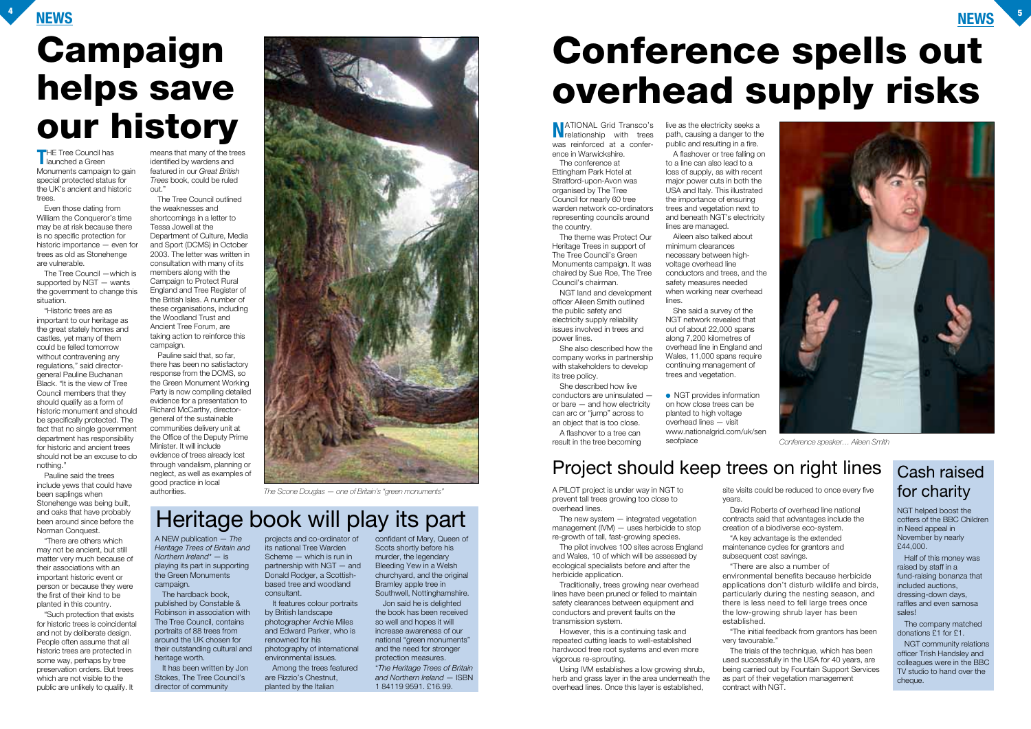### **NEWS <sup>4</sup>**

**THE Tree Council has<br>I launched a Green** Monuments campaign to gain special protected status for the UK's ancient and historic trees.

Even those dating from William the Conqueror's time may be at risk because there is no specific protection for historic importance — even for trees as old as Stonehenge are vulnerable.

The Tree Council —which is supported by NGT — wants the government to change this situation.

"Historic trees are as important to our heritage as the great stately homes and castles, yet many of them could be felled tomorrow without contravening any regulations," said directorgeneral Pauline Buchanan Black. "It is the view of Tree Council members that they should qualify as a form of historic monument and should be specifically protected. The fact that no single government department has responsibility for historic and ancient trees should not be an excuse to do nothing."

Pauline said the trees include yews that could have been saplings when Stonehenge was being built, and oaks that have probably been around since before the Norman Conquest.

"There are others which may not be ancient, but still matter very much because of their associations with an important historic event or person or because they were the first of their kind to be planted in this country.

"Such protection that exists for historic trees is coincidental and not by deliberate design. People often assume that all historic trees are protected in some way, perhaps by tree preservation orders. But trees which are not visible to the public are unlikely to qualify. It

means that many of the trees identified by wardens and featured in our *Great British Trees* book, could be ruled out."

The Tree Council outlined the weaknesses and shortcomings in a letter to Tessa Jowell at the Department of Culture, Media and Sport (DCMS) in October 2003. The letter was written in consultation with many of its members along with the Campaign to Protect Rural England and Tree Register of the British Isles. A number of these organisations, including the Woodland Trust and Ancient Tree Forum, are taking action to reinforce this campaign.

**N**ATIONAL Grid Transco's<br>relationship with trees was reinforced at a conference in Warwickshire.

Pauline said that, so far, there has been no satisfactory response from the DCMS, so the Green Monument Working Party is now compiling detailed evidence for a presentation to Richard McCarthy, directorgeneral of the sustainable communities delivery unit at the Office of the Deputy Prime Minister. It will include evidence of trees already lost through vandalism, planning or neglect, as well as examples of good practice in local



authorities. The Scone Douglas — one of Britain's "green monuments" and **A PILOT** project is under way in NGT to

prevent tall trees growing too close to overhead lines.

The new system — integrated vegetation management (IVM) — uses herbicide to stop re-growth of tall, fast-growing species.

The pilot involves 100 sites across England and Wales, 10 of which will be assessed by ecological specialists before and after the herbicide application.

● NGT provides information on how close trees can be planted to high voltage overhead lines — visit www.nationalgrid.com/uk/sen seofplace

Traditionally, trees growing near overhead lines have been pruned or felled to maintain safety clearances between equipment and conductors and prevent faults on the transmission system.

However, this is a continuing task and repeated cutting leads to well-established hardwood tree root systems and even more vigorous re-sprouting.

The hardback book. published by Constable & Robinson in association with The Tree Council, contains portraits of 88 trees from around the UK chosen for their outstanding cultural and heritage worth.

Using IVM establishes a low growing shrub, herb and grass layer in the area underneath the overhead lines. Once this layer is established,

projects and co-ordinator of confidant of Mary, Queen of its national Tree Warden Scheme — which is run in partnership with NGT — and Donald Rodger, a Scottishbased tree and woodland consultant.

site visits could be reduced to once every five years.

subsequent cost savings. "There are also a number of

- David Roberts of overhead line national contracts said that advantages include the creation of a biodiverse eco-system. "A key advantage is the extended
- maintenance cycles for grantors and
	-
- environmental benefits because herbicide applications don't disturb wildlife and birds, particularly during the nesting season, and there is less need to fell large trees once the low-growing shrub layer has been
- "The initial feedback from grantors has been
- The trials of the technique, which has been used successfully in the USA for 40 years, are being carried out by Fountain Support Services as part of their vegetation management

established.

very favourable." contract with NGT.

The conference at Ettingham Park Hotel at Stratford-upon-Avon was organised by The Tree Council for nearly 60 tree warden network co-ordinators representing councils around the country.

The theme was Protect Our Heritage Trees in support of The Tree Council's Green Monuments campaign. It was chaired by Sue Roe, The Tree Council's chairman.

NGT land and development officer Aileen Smith outlined the public safety and electricity supply reliability issues involved in trees and power lines.

She also described how the company works in partnership with stakeholders to develop its tree policy.

She described how live conductors are uninsulated or bare — and how electricity can arc or "jump" across to an object that is too close. A flashover to a tree can result in the tree becoming

live as the electricity seeks a path, causing a danger to the public and resulting in a fire.

A flashover or tree falling on to a line can also lead to a loss of supply, as with recent major power cuts in both the USA and Italy. This illustrated the importance of ensuring trees and vegetation next to and beneath NGT's electricity lines are managed.

Aileen also talked about minimum clearances necessary between highvoltage overhead line conductors and trees, and the safety measures needed when working near overhead lines.

She said a survey of the NGT network revealed that out of about 22,000 spans along 7,200 kilometres of overhead line in England and Wales, 11,000 spans require continuing management of trees and vegetation.

# **Campaign helps save our history**

# **Conference spells out overhead supply risks**

### Project should keep trees on right lines



*Conference speaker… Aileen Smith*

A NEW publication — *The Heritage Trees of Britain and Northern Ireland\** — is playing its part in supporting the Green Monuments campaign.

It has been written by Jon Stokes, The Tree Council's director of community

It features colour portraits by British landscape photographer Archie Miles and Edward Parker, who is renowned for his photography of international environmental issues.

Among the trees featured are Rizzio's Chestnut, planted by the Italian

Scots shortly before his murder, the legendary Bleeding Yew in a Welsh churchyard, and the original Bramley apple tree in Southwell, Nottinghamshire.

Jon said he is delighted the book has been received so well and hopes it will increase awareness of our national "green monuments" and the need for stronger protection measures.

\**The Heritage Trees of Britain and Northern Ireland* — ISBN 1 84119 9591. £16.99.

## Heritage book will play its part

### Cash raised for charity

NGT helped boost the coffers of the BBC Children in Need appeal in November by nearly £44,000.

Half of this money was raised by staff in a fund-raising bonanza that included auctions, dressing-down days, raffles and even samosa sales!

The company matched donations £1 for £1.

NGT community relations officer Trish Handsley and colleagues were in the BBC TV studio to hand over the cheque.

**NEWS**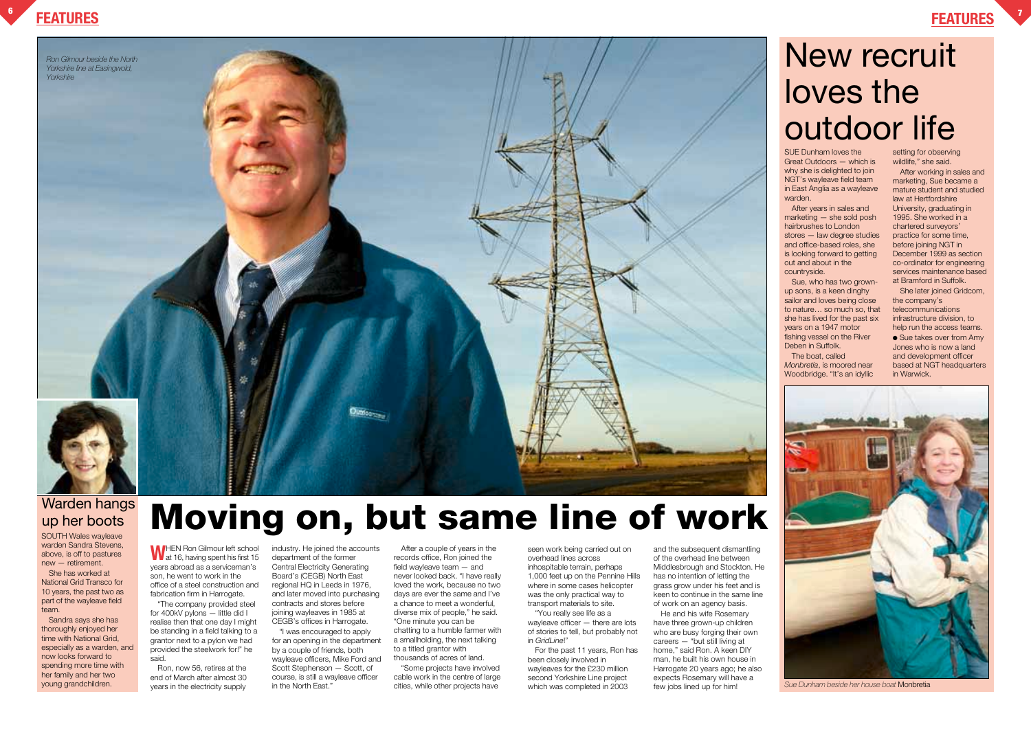

### **FEATURES <sup>7</sup>**

# New recruit loves the outdoor life

# **Moving on, but same line of work**

SOUTH Wales wayleave warden Sandra Stevens. above, is off to pastures new — retirement.

She has worked at National Grid Transco for 10 years, the past two as part of the wayleave field team.

Sandra says she has thoroughly enjoyed her time with National Grid, especially as a warden, and now looks forward to spending more time with her family and her two young grandchildren.

### Warden hangs up her boots



*Sue Dunham beside her house boat* Monbretia

**W**HEN Ron Gilmour left school at 16, having spent his first 15 years abroad as a serviceman's son, he went to work in the office of a steel construction and fabrication firm in Harrogate.

"The company provided steel for 400kV pylons — little did I realise then that one day I might be standing in a field talking to a grantor next to a pylon we had provided the steelwork for!" he said.

Ron, now 56, retires at the end of March after almost 30 years in the electricity supply

industry. He joined the accounts department of the former Central Electricity Generating Board's (CEGB) North East regional HQ in Leeds in 1976, and later moved into purchasing contracts and stores before joining wayleaves in 1985 at CEGB's offices in Harrogate.

"I was encouraged to apply for an opening in the department by a couple of friends, both wayleave officers, Mike Ford and Scott Stephenson — Scott, of course, is still a wayleave officer in the North East."

Sue, who has two grownup sons, is a keen dinghy sailor and loves being close to nature… so much so, that she has lived for the past six years on a 1947 motor fishing vessel on the River Deben in Suffolk.

After a couple of years in the records office, Ron joined the field wayleave team — and never looked back. "I have really loved the work, because no two days are ever the same and I've a chance to meet a wonderful, diverse mix of people," he said. "One minute you can be chatting to a humble farmer with a smallholding, the next talking to a titled grantor with thousands of acres of land.

"Some projects have involved cable work in the centre of large cities, while other projects have

● Sue takes over from Amy Jones who is now a land and development officer based at NGT headquarters in Warwick.

seen work being carried out on overhead lines across inhospitable terrain, perhaps 1,000 feet up on the Pennine Hills where in some cases helicopter was the only practical way to transport materials to site.

"You really see life as a wayleave officer — there are lots of stories to tell, but probably not in *GridLine*!"

For the past 11 years, Ron has been closely involved in wayleaves for the £230 million second Yorkshire Line project which was completed in 2003

and the subsequent dismantling of the overhead line between Middlesbrough and Stockton. He has no intention of letting the grass grow under his feet and is keen to continue in the same line of work on an agency basis.

He and his wife Rosemary have three grown-up children who are busy forging their own careers — "but still living at home," said Ron. A keen DIY man, he built his own house in Harrogate 20 years ago; he also expects Rosemary will have a few jobs lined up for him!

SUE Dunham loves the Great Outdoors — which is why she is delighted to join NGT's wayleave field team in East Anglia as a wayleave warden.

After years in sales and marketing — she sold posh hairbrushes to London stores — law degree studies and office-based roles, she is looking forward to getting out and about in the countryside.

The boat, called *Monbretia*, is moored near Woodbridge. "It's an idyllic

setting for observing wildlife," she said.

After working in sales and marketing, Sue became a mature student and studied law at Hertfordshire University, graduating in 1995. She worked in a chartered surveyors' practice for some time, before joining NGT in December 1999 as section co-ordinator for engineering services maintenance based at Bramford in Suffolk.

She later joined Gridcom, the company's telecommunications infrastructure division, to help run the access teams.

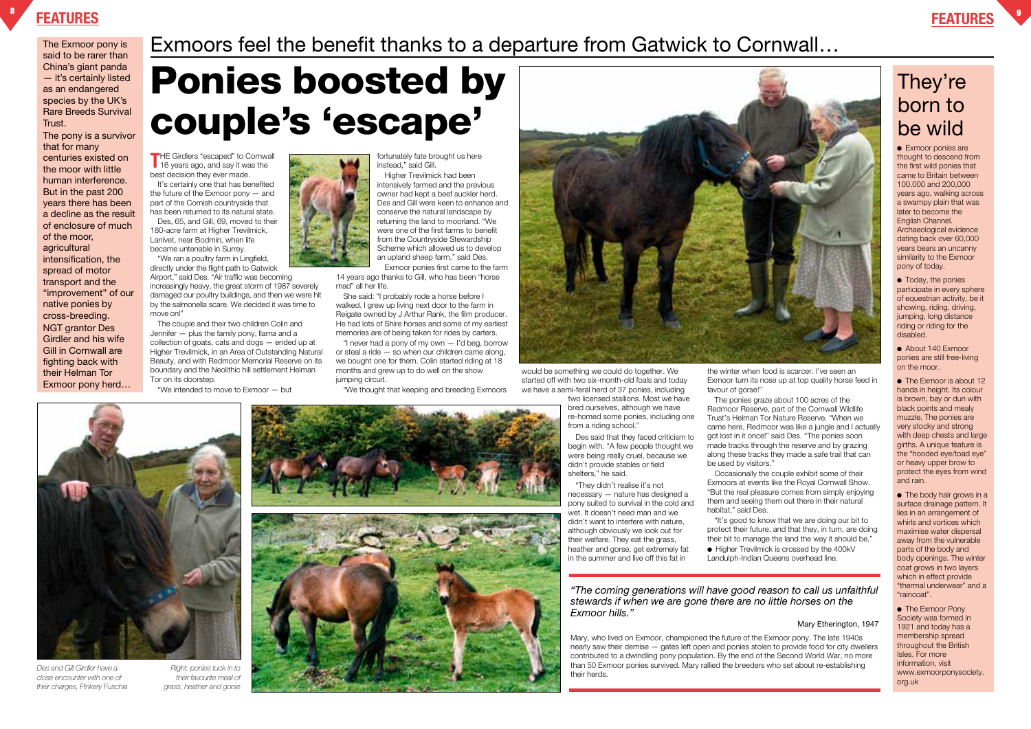### **FEATURES <sup>8</sup>**

**T**HE Girdlers "escaped" to Cornwall 16 years ago, and say it was the best decision they ever made.

It's certainly one that has benefited the future of the Exmoor pony — and part of the Cornish countryside that has been returned to its natural state.

"We ran a poultry farm in Lingfield, directly under the flight path to Gatwick Airport," said Des. "Air traffic was becoming increasingly heavy, the great storm of 1987 severely damaged our poultry buildings, and then we were hit by the salmonella scare. We decided it was time to move onl'

Des, 65, and Gill, 69, moved to their 180-acre farm at Higher Trevilmick, Lanivet, near Bodmin, when life became untenable in Surrey.

The couple and their two children Colin and Jennifer — plus the family pony, llama and a collection of goats, cats and dogs — ended up at Higher Trevilmick, in an Area of Outstanding Natural Beauty, and with Redmoor Memorial Reserve on its boundary and the Neolithic hill settlement Helman Tor on its doorstep.

"We intended to move to Exmoor — but



fortunately fate brought us here instead," said Gill.

Higher Trevilmick had been intensively farmed and the previous owner had kept a beef suckler herd. Des and Gill were keen to enhance and conserve the natural landscape by returning the land to moorland. "We were one of the first farms to benefit from the Countryside Stewardship Scheme which allowed us to develop an upland sheep farm," said Des.

Exmoor ponies first came to the farm 14 years ago thanks to Gill, who has been "horse mad" all her life.

She said: "I probably rode a horse before I walked. I grew up living next door to the farm in Reigate owned by J Arthur Rank, the film producer. He had lots of Shire horses and some of my earliest memories are of being taken for rides by carters.

"I never had a pony of my own — I'd beg, borrow or steal a ride — so when our children came along, we bought one for them. Colin started riding at 18 months and grew up to do well on the show jumping circuit.

● Exmoor ponies are thought to descend from the first wild ponies that came to Britain between 100,000 and 200,000 years ago, walking across a swampy plain that was later to become the English Channel. Archaeological evidence dating back over 60,000 years bears an uncanny similarity to the Exmoor pony of today.

"We thought that keeping and breeding Exmoors



● Today, the ponies participate in every sphere of equestrian activity, be it showing, riding, driving, jumping, long distance riding or riding for the disabled.

would be something we could do together. We started off with two six-month-old foals and today we have a semi-feral herd of 37 ponies, including

● About 140 Exmoor ponies are still free-living on the moor.

two licensed stallions. Most we have bred ourselves, although we have re-homed some ponies, including one from a riding school."

• The Exmoor is about 12 hands in height. Its colour is brown, bay or dun with black points and mealy muzzle. The ponies are very stocky and strong with deep chests and large girths. A unique feature is the "hooded eye/toad eye" or heavy upper brow to protect the eyes from wind and rain.

Des said that they faced criticism to begin with. "A few people thought we were being really cruel, because we didn't provide stables or field shelters," he said.

> • The body hair grows in a surface drainage pattern. It lies in an arrangement of whirls and vortices which maximise water dispersal away from the vulnerable parts of the body and body openings. The winter coat grows in two layers which in effect provide "thermal underwear" and a "raincoat".

● The Exmoor Pony Society was formed in 1921 and today has a membership spread throughout the British Isles. For more information, visit www.exmoorponysociety. org.uk

"They didn't realise it's not necessary — nature has designed a pony suited to survival in the cold and wet. It doesn't need man and we didn't want to interfere with nature, although obviously we look out for their welfare. They eat the grass, heather and gorse, get extremely fat in the summer and live off this fat in

the winter when food is scarcer. I've seen an Exmoor turn its nose up at top quality horse feed in

favour of gorse!"

The ponies graze about 100 acres of the Redmoor Reserve, part of the Cornwall Wildlife Trust's Helman Tor Nature Reserve. "When we came here, Redmoor was like a jungle and I actually got lost in it once!" said Des. "The ponies soon made tracks through the reserve and by grazing along these tracks they made a safe trail that can be used by visitors."

Occasionally the couple exhibit some of their Exmoors at events like the Royal Cornwall Show. "But the real pleasure comes from simply enjoying them and seeing them out there in their natural habitat," said Des.

"It's good to know that we are doing our bit to protect their future, and that they, in turn, are doing their bit to manage the land the way it should be." ● Higher Trevilmick is crossed by the 400kV Landulph-Indian Queens overhead line.

*"The coming generations will have good reason to call us unfaithful stewards if when we are gone there are no little horses on the Exmoor hills."*

#### Mary Etherington, 1947

Mary, who lived on Exmoor, championed the future of the Exmoor pony. The late 1940s nearly saw their demise — gates left open and ponies stolen to provide food for city dwellers contributed to a dwindling pony population. By the end of the Second World War, no more than 50 Exmoor ponies survived. Mary rallied the breeders who set about re-establishing their herds.

# **Ponies boosted by couple's 'escape'**

The Exmoor pony is said to be rarer than China's giant panda — it's certainly listed as an endangered species by the UK's Rare Breeds Survival Trust.

The pony is a survivor that for many centuries existed on the moor with little human interference. But in the past 200 years there has been a decline as the result of enclosure of much of the moor, agricultural intensification, the spread of motor transport and the "improvement" of our native ponies by cross-breeding. NGT grantor Des Girdler and his wife Gill in Cornwall are fighting back with their Helman Tor Exmoor pony herd…

### Exmoors feel the benefit thanks to a departure from Gatwick to Cornwall…

### They're born to be wild

*Des and Gill Girdler have a close encounter with one of their charges, Pinkery Fuschia*

*Right: ponies tuck in to their favourite meal of grass, heather and gorse*

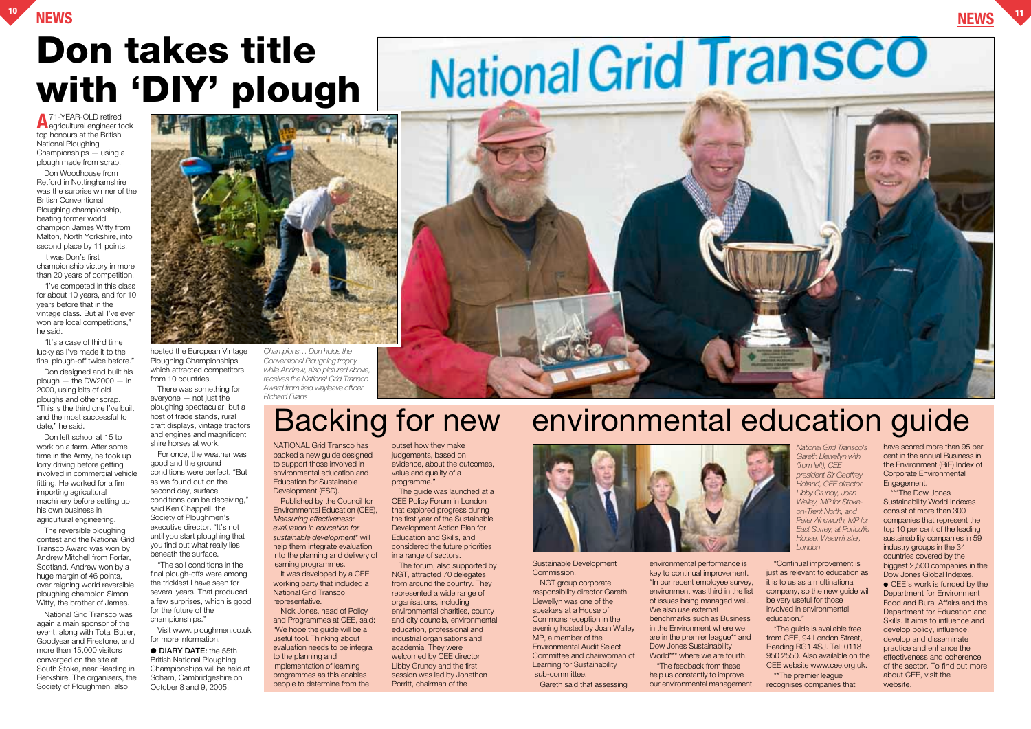Don Woodhouse from Retford in Nottinghamshire was the surprise winner of the British Conventional Ploughing championship, beating former world champion James Witty from Malton, North Yorkshire, into second place by 11 points.

**A**71-YEAR-OLD retired agricultural engineer took top honours at the British National Ploughing Championships — using a plough made from scrap.

It was Don's first championship victory in more than 20 years of competition.

"I've competed in this class for about 10 years, and for 10 years before that in the vintage class. But all I've ever won are local competitions," he said.

"It's a case of third time lucky as I've made it to the final plough-off twice before."

Don designed and built his  $p$ lough  $-$  the DW2000  $-$  in 2000, using bits of old ploughs and other scrap. "This is the third one I've built and the most successful to date," he said.

Don left school at 15 to work on a farm. After some time in the Army, he took up lorry driving before getting involved in commercial vehicle fitting. He worked for a firm importing agricultural machinery before setting up his own business in agricultural engineering.

The reversible ploughing contest and the National Grid Transco Award was won by Andrew Mitchell from Forfar, Scotland. Andrew won by a huge margin of 46 points, over reigning world reversible ploughing champion Simon Witty, the brother of James.

National Grid Transco was again a main sponsor of the event, along with Total Butler, Goodyear and Firestone, and more than 15,000 visitors converged on the site at South Stoke, near Reading in Berkshire. The organisers, the Society of Ploughmen, also



hosted the European Vintage Ploughing Championships which attracted competitors from 10 countries.

There was something for everyone — not just the ploughing spectacular, but a host of trade stands, rural craft displays, vintage tractors and engines and magnificent shire horses at work.

For once, the weather was good and the ground conditions were perfect. "But as we found out on the second day, surface conditions can be deceiving," said Ken Chappell, the Society of Ploughmen's executive director. "It's not until you start ploughing that you find out what really lies beneath the surface.

"The soil conditions in the final plough-offs were among the trickiest I have seen for several years. That produced a few surprises, which is good for the future of the championships."

> help us constantly to improve our environmental management.

Visit www. ploughmen.co.uk for more information.

● **DIARY DATE:** the 55th British National Ploughing Championships will be held at Soham, Cambridgeshire on October 8 and 9, 2005.

NATIONAL Grid Transco has backed a new guide designed to support those involved in environmental education and Education for Sustainable Development (ESD).

Published by the Council for Environmental Education (CEE), *Measuring effectiveness: evaluation in education for sustainable development*\* will help them integrate evaluation into the planning and delivery of learning programmes.

It was developed by a CEE working party that included a National Grid Transco representative.

Nick Jones, head of Policy and Programmes at CEE, said: "We hope the guide will be a useful tool. Thinking about evaluation needs to be integral to the planning and implementation of learning programmes as this enables people to determine from the

outset how they make judgements, based on evidence, about the outcomes, value and quality of a programme."

The guide was launched at a CEE Policy Forum in London that explored progress during the first year of the Sustainable Development Action Plan for Education and Skills, and considered the future priorities in a range of sectors.

The forum, also supported by NGT, attracted 70 delegates from around the country. They represented a wide range of organisations, including environmental charities, county and city councils, environmental education, professional and industrial organisations and academia. They were welcomed by CEE director Libby Grundy and the first session was led by Jonathon Porritt, chairman of the



Sustainable Development Commission.

NGT group corporate responsibility director Gareth Llewellyn was one of the speakers at a House of Commons reception in the evening hosted by Joan Walley MP, a member of the Environmental Audit Select Committee and chairwoman of Learning for Sustainability sub-committee.

Gareth said that assessing

environmental performance is key to continual improvement. "In our recent employee survey, environment was third in the list of issues being managed well. We also use external benchmarks such as Business in the Environment where we are in the premier league\*\* and Dow Jones Sustainability World\*\*\* where we are fourth. "The feedback from these

"Continual improvement is just as relevant to education as it is to us as a multinational company, so the new guide will be very useful for those involved in environmental

education." \*The guide is available free from CEE, 94 London Street, Reading RG1 4SJ. Tel: 0118 950 2550. Also available on the CEE website www.cee.org.uk. \*\*The premier league recognises companies that

have scored more than 95 per cent in the annual Business in the Environment (BiE) Index of Corporate Environmental Engagement.

\*\*\*The Dow Jones Sustainability World Indexes consist of more than 300 companies that represent the top 10 per cent of the leading sustainability companies in 59 industry groups in the 34 countries covered by the biggest 2,500 companies in the Dow Jones Global Indexes. ● CEE's work is funded by the Department for Environment Food and Rural Affairs and the Department for Education and Skills. It aims to influence and develop policy, influence, develop and disseminate practice and enhance the effectiveness and coherence of the sector. To find out more about CEE, visit the website.

*National Grid Transco's Gareth Llewellyn with (from left), CEE president Sir Geoffrey Holland, CEE director Libby Grundy, Joan Walley, MP for Stokeon-Trent North, and Peter Ainsworth, MP for East Surrey, at Portcullis House, Westminster, London*

# Backing for new environmental education guide



# **Don takes title with 'DIY' plough**

*Champions… Don holds the Conventional Ploughing trophy while Andrew, also pictured above, receives the National Grid Transco Award from field wayleave officer Richard Evans*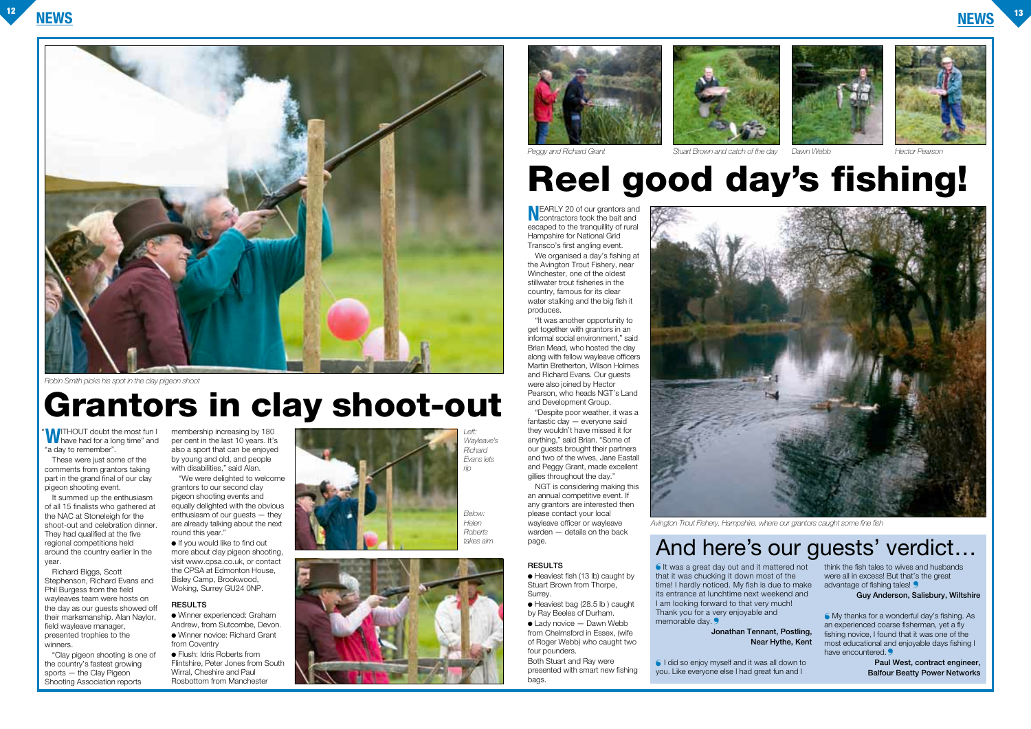





# **Grantors in clay shoot-out**

# **Reel good day's fishing!**

**WITHOUT** doubt the most fun I "a day to remember".

These were just some of the comments from grantors taking part in the grand final of our clay pigeon shooting event.

It summed up the enthusiasm of all 15 finalists who gathered at the NAC at Stoneleigh for the shoot-out and celebration dinner. They had qualified at the five regional competitions held around the country earlier in the year.

Richard Biggs, Scott Stephenson, Richard Evans and Phil Burgess from the field wayleaves team were hosts on the day as our quests showed off their marksmanship. Alan Naylor, field wayleave manager, presented trophies to the winners.

"Clay pigeon shooting is one of the country's fastest growing sports — the Clay Pigeon Shooting Association reports

membership increasing by 180 per cent in the last 10 years. It's also a sport that can be enjoyed by young and old, and people with disabilities," said Alan.

"We were delighted to welcome grantors to our second clay pigeon shooting events and equally delighted with the obvious enthusiasm of our guests — they are already talking about the next round this year."

● If you would like to find out more about clay pigeon shooting, visit www.cpsa.co.uk, or contact the CPSA at Edmonton House, Bisley Camp, Brookwood, Woking, Surrey GU24 0NP.

#### **RESULTS**

 $\bullet$  Heaviest fish (13 lb) caught by Stuart Brown from Thorpe, Surrey.

 $\bullet$  Heaviest bag (28.5 lb) caught by Ray Beeles of Durham.

● Winner experienced: Graham Andrew, from Sutcombe, Devon. ● Winner novice: Richard Grant

 $\bullet$  Lady novice  $-$  Dawn Webb from Chelmsford in Essex, (wife of Roger Webb) who caught two four pounders.

It was a great day out and it mattered not ❛ that it was chucking it down most of the time! I hardly noticed. My fish is due to make its entrance at lunchtime next weekend and I am looking forward to that very much! Thank you for a very enjoyable and memorable day.

from Coventry ● Flush: Idris Roberts from Flintshire, Peter Jones from South Wirral, Cheshire and Paul Rosbottom from Manchester

**N**EARLY 20 of our grantors and contractors took the bait and escaped to the tranquillity of rural Hampshire for National Grid Transco's first angling event.

> think the fish tales to wives and husbands were all in excess! But that's the great advantage of fishing tales!

My thanks for a wonderful day's fishing. As ❛ an experienced coarse fisherman, yet a fly fishing novice, I found that it was one of the most educational and enjoyable days fishing I have encountered.

We organised a day's fishing at the Avington Trout Fishery, near Winchester, one of the oldest stillwater trout fisheries in the country, famous for its clear water stalking and the big fish it produces.

"It was another opportunity to get together with grantors in an informal social environment," said Brian Mead, who hosted the day along with fellow wayleave officers Martin Bretherton, Wilson Holmes and Richard Evans. Our guests were also joined by Hector Pearson, who heads NGT's Land and Development Group.

"Despite poor weather, it was a fantastic day — everyone said they wouldn't have missed it for anything," said Brian. "Some of our guests brought their partners and two of the wives, Jane Eastall and Peggy Grant, made excellent gillies throughout the day."

NGT is considering making this an annual competitive event. If any grantors are interested then please contact your local wayleave officer or wayleave warden — details on the back page.

#### **RESULTS**

Both Stuart and Ray were presented with smart new fishing bags.



**Jonathan Tennant, Postling,**

### **Near Hythe, Kent**

I did so enjoy myself and it was all down to ❛you. Like everyone else I had great fun and I

**Guy Anderson, Salisbury, Wiltshire**

**Paul West, contract engineer, Balfour Beatty Power Networks**

"



*Robin Smith picks his spot in the clay pigeon shoot*

#### *Peggy and Richard Grant Stuart Brown and catch of the day Dawn Webb Hector Pearson*

*Avington Trout Fishery, Hampshire, where our grantors caught some fine fish*

## takes aim and here's our guests' verdict.







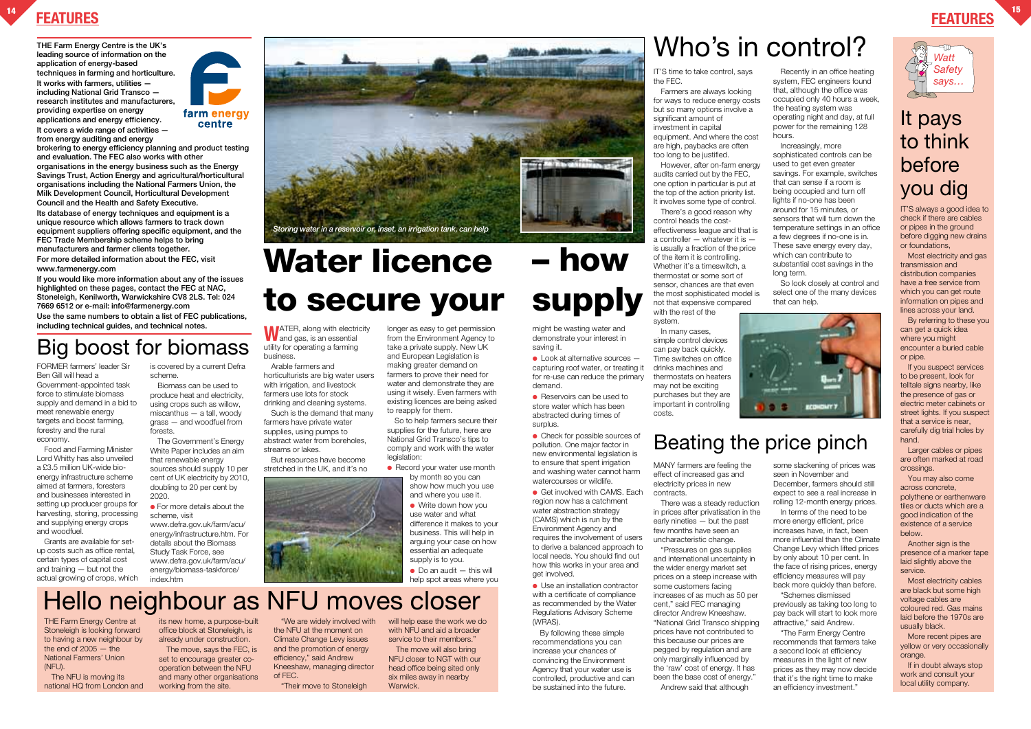### **FEATURES <sup>14</sup> FEATURES**

**THE Farm Energy Centre is the UK's leading source of information on the application of energy-based techniques in farming and horticulture. It works with farmers, utilities including National Grid Transco research institutes and manufacturers, providing expertise on energy applications and energy efficiency. It covers a wide range of activities from energy auditing and energy**



**brokering to energy efficiency planning and product testing and evaluation. The FEC also works with other organisations in the energy business such as the Energy Savings Trust, Action Energy and agricultural/horticultural organisations including the National Farmers Union, the Milk Development Council, Horticultural Development Council and the Health and Safety Executive. Its database of energy techniques and equipment is a unique resource which allows farmers to track down equipment suppliers offering specific equipment, and the FEC Trade Membership scheme helps to bring manufacturers and farmer clients together. For more detailed information about the FEC, visit www.farmenergy.com**

**If you would like more information about any of the issues highlighted on these pages, contact the FEC at NAC, Stoneleigh, Kenilworth, Warwickshire CV8 2LS. Tel: 024 7669 6512 or e-mail: info@farmenergy.com Use the same numbers to obtain a list of FEC publications, including technical guides, and technical notes.**

WATER, along with electricity<br>and gas, is an essential utility for operating a farming business.



IT'S always a good idea to check if there are cables or pipes in the ground before digging new drains or foundations,

Most electricity and gas transmission and distribution companies have a free service from which you can get route information on pipes and lines across your land.

longer as easy to get permission from the Environment Agency to take a private supply. New UK and European Legislation is making greater demand on farmers to prove their need for water and demonstrate they are using it wisely. Even farmers with existing licences are being asked to reapply for them. So to help farmers secure their

supplies for the future, here are National Grid Transco's tips to comply and work with the water legislation:

By referring to these you can get a quick idea where you might encounter a buried cable or pipe.

● Record your water use month by month so you can show how much you use

> $\bullet$  Do an audit  $-$  this will help spot areas where you

If you suspect services to be present, look for telltale signs nearby, like the presence of gas or electric meter cabinets or street lights. If you suspect that a service is near, carefully dig trial holes by hand.

Larger cables or pipes are often marked at road crossings.

You may also come across concrete, polythene or earthenware tiles or ducts which are a good indication of the existence of a service below.

Another sign is the presence of a marker tape laid slightly above the service.

Most electricity cables are black but some high voltage cables are coloured red. Gas mains laid before the 1970s are usually black.

More recent pipes are yellow or very occasionally orange.

If in doubt always stop work and consult your local utility company.

### It pays to think before you dig

Arable farmers and horticulturists are big water users with irrigation, and livestock farmers use lots for stock drinking and cleaning systems.

Recently in an office heating system, FEC engineers found that, although the office was occupied only 40 hours a week, the heating system was operating night and day, at full power for the remaining 128 hours

Such is the demand that many farmers have private water supplies, using pumps to abstract water from boreholes, streams or lakes.

But resources have become stretched in the UK, and it's no



and where you use it. ● Write down how you use water and what difference it makes to your business. This will help in arguing your case on how essential an adequate supply is to you.

THE Farm Energy Centre at Stoneleigh is looking forward to having a new neighbour by the end of  $2005 -$  the National Farmers' Union (NFU).

The NFU is moving its national HQ from London and its new home, a purpose-built office block at Stoneleigh, is already under construction.

The move, says the FEC, is set to encourage greater cooperation between the NFU and many other organisations working from the site.

"We are widely involved with the NFU at the moment on Climate Change Levy issues and the promotion of energy efficiency," said Andrew Kneeshaw, managing director of FEC.

"Their move to Stoneleigh

will help ease the work we do with NFU and aid a broader service to their members."

The move will also bring NFU closer to NGT with our head office being sited only six miles away in nearby Warwick.

 $\bullet$  Look at alternative sources  $$ capturing roof water, or treating it for re-use can reduce the primary demand.

● Reservoirs can be used to store water which has been abstracted during times of surplus.

IT'S time to take control, says the FEC.

● Check for possible sources of pollution. One major factor in new environmental legislation is to ensure that spent irrigation and washing water cannot harm watercourses or wildlife.

Farmers are always looking for ways to reduce energy costs but so many options involve a significant amount of investment in capital equipment. And where the cost are high, paybacks are often too long to be justified.

● Get involved with CAMS. Each region now has a catchment water abstraction strategy (CAMS) which is run by the Environment Agency and requires the involvement of users to derive a balanced approach to local needs. You should find out how this works in your area and get involved.

● Use an installation contractor with a certificate of compliance as recommended by the Water Regulations Advisory Scheme (WRAS).

However, after on-farm energy audits carried out by the FEC, one option in particular is put at the top of the action priority list. It involves some type of control.

There's a good reason why control heads the costeffectiveness league and that is a controller — whatever it is is usually a fraction of the price of the item it is controlling. Whether it's a timeswitch, a thermostat or some sort of sensor, chances are that even the most sophisticated model is not that expensive compared

with the rest of the system.

In many cases, simple control devices can pay back quickly. Time switches on office drinks machines and thermostats on heaters may not be exciting purchases but they are important in controlling costs.



Increasingly, more sophisticated controls can be used to get even greater savings. For example, switches that can sense if a room is being occupied and turn off lights if no-one has been around for 15 minutes, or sensors that will turn down the temperature settings in an office a few degrees if no-one is in. These save energy every day, which can contribute to substantial cost savings in the long term.

So look closely at control and select one of the many devices that can help.

FORMER farmers' leader Sir Ben Gill will head a Government-appointed task force to stimulate biomass supply and demand in a bid to meet renewable energy targets and boost farming, forestry and the rural economy.

Food and Farming Minister Lord Whitty has also unveiled a £3.5 million UK-wide bioenergy infrastructure scheme aimed at farmers, foresters and businesses interested in setting up producer groups for harvesting, storing, processing and supplying energy crops and woodfuel.

Grants are available for setup costs such as office rental, certain types of capital cost and training — but not the actual growing of crops, which is covered by a current Defra scheme.

Biomass can be used to produce heat and electricity, using crops such as willow, miscanthus — a tall, woody grass — and woodfuel from forests.

The Government's Energy White Paper includes an aim that renewable energy sources should supply 10 per cent of UK electricity by 2010, doubling to 20 per cent by 2020.

● For more details about the scheme, visit

www.defra.gov.uk/farm/acu/ energy/infrastructure.htm. For details about the Biomass Study Task Force, see www.defra.gov.uk/farm/acu/ energy/biomass-taskforce/ index.htm

MANY farmers are feeling the effect of increased gas and electricity prices in new contracts.

There was a steady reduction in prices after privatisation in the early nineties — but the past few months have seen an uncharacteristic change.

"Pressures on gas supplies and international uncertainty in the wider energy market set prices on a steep increase with some customers facing increases of as much as 50 per cent," said FEC managing director Andrew Kneeshaw. "National Grid Transco shipping prices have not contributed to this because our prices are pegged by regulation and are only marginally influenced by the 'raw' cost of energy. It has been the base cost of energy." Andrew said that although



some slackening of prices was seen in November and December, farmers should still expect to see a real increase in rolling 12-month energy prices. In terms of the need to be more energy efficient, price increases have, in fact, been more influential than the Climate Change Levy which lifted prices by only about 10 per cent. In the face of rising prices, energy efficiency measures will pay back more quickly than before. "Schemes dismissed

previously as taking too long to pay back will start to look more attractive," said Andrew.

"The Farm Energy Centre recommends that farmers take a second look at efficiency measures in the light of new prices as they may now decide that it's the right time to make an efficiency investment."

might be wasting water and demonstrate your interest in saving it.

# **Water licence** *Storing water in a reservoir or, inset, an irrigation tank, can help*

By following these simple recommendations you can increase your chances of convincing the Environment Agency that your water use is controlled, productive and can be sustained into the future.

# **– how**

# **to secure your supply**

# Who's in control?

### Beating the price pinch

# Big boost for biomass

# Hello neighbour as NFU moves closer